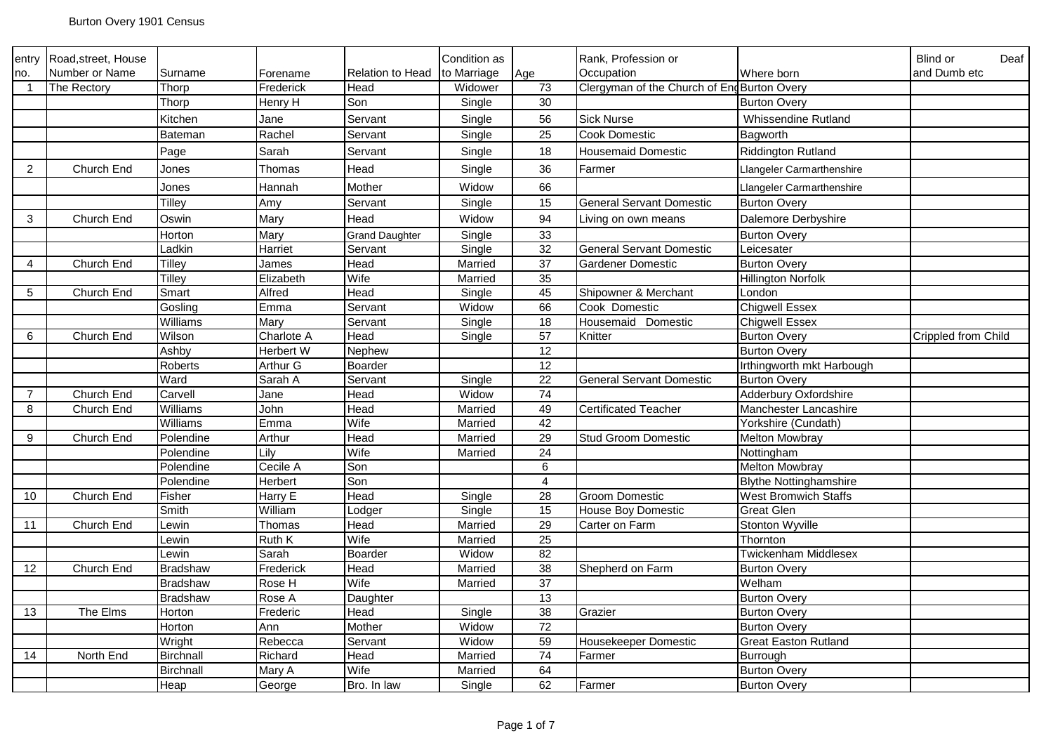| entry                   | Road, street, House |                  |            |                         | Condition as |                 | Rank, Profession or                        |                               | Blind or<br>Deaf    |
|-------------------------|---------------------|------------------|------------|-------------------------|--------------|-----------------|--------------------------------------------|-------------------------------|---------------------|
| no.                     | Number or Name      | Surname          | Forename   | <b>Relation to Head</b> | to Marriage  | Age             | Occupation                                 | Where born                    | and Dumb etc        |
| $\overline{\mathbf{1}}$ | The Rectory         | Thorp            | Frederick  | Head                    | Widower      | 73              | Clergyman of the Church of EngBurton Overy |                               |                     |
|                         |                     | Thorp            | Henry H    | Son                     | Single       | 30              |                                            | <b>Burton Overy</b>           |                     |
|                         |                     | Kitchen          | Jane       | Servant                 | Single       | 56              | <b>Sick Nurse</b>                          | <b>Whissendine Rutland</b>    |                     |
|                         |                     | Bateman          | Rachel     | Servant                 | Single       | 25              | Cook Domestic                              | Bagworth                      |                     |
|                         |                     | Page             | Sarah      | Servant                 | Single       | 18              | <b>Housemaid Domestic</b>                  | <b>Riddington Rutland</b>     |                     |
| $\overline{2}$          | Church End          | Jones            | Thomas     | Head                    | Single       | 36              | Farmer                                     | Llangeler Carmarthenshire     |                     |
|                         |                     | Jones            | Hannah     | Mother                  | Widow        | 66              |                                            | Llangeler Carmarthenshire     |                     |
|                         |                     | <b>Tilley</b>    | Amy        | Servant                 | Single       | 15              | <b>General Servant Domestic</b>            | <b>Burton Overy</b>           |                     |
| 3                       | Church End          | Oswin            | Mary       | Head                    | Widow        | 94              | Living on own means                        | Dalemore Derbyshire           |                     |
|                         |                     | Horton           | Mary       | Grand Daughter          | Single       | 33              |                                            | <b>Burton Overy</b>           |                     |
|                         |                     | Ladkin           | Harriet    | Servant                 | Single       | 32              | <b>General Servant Domestic</b>            | Leicesater                    |                     |
| $\overline{4}$          | Church End          | <b>Tilley</b>    | James      | Head                    | Married      | 37              | Gardener Domestic                          | <b>Burton Overy</b>           |                     |
|                         |                     | Tilley           | Elizabeth  | Wife                    | Married      | 35              |                                            | <b>Hillington Norfolk</b>     |                     |
| $5\phantom{.0}$         | Church End          | Smart            | Alfred     | Head                    | Single       | 45              | Shipowner & Merchant                       | London                        |                     |
|                         |                     | Gosling          | Emma       | Servant                 | Widow        | 66              | Cook Domestic                              | <b>Chigwell Essex</b>         |                     |
|                         |                     | Williams         | Mary       | Servant                 | Single       | $\overline{18}$ | Housemaid Domestic                         | <b>Chigwell Essex</b>         |                     |
| 6                       | Church End          | Wilson           | Charlote A | Head                    | Single       | $\overline{57}$ | Knitter                                    | <b>Burton Overy</b>           | Crippled from Child |
|                         |                     | Ashby            | Herbert W  | Nephew                  |              | 12              |                                            | <b>Burton Overy</b>           |                     |
|                         |                     | Roberts          | Arthur G   | Boarder                 |              | 12              |                                            | Irthingworth mkt Harbough     |                     |
|                         |                     | Ward             | Sarah A    | Servant                 | Single       | 22              | <b>General Servant Domestic</b>            | <b>Burton Overy</b>           |                     |
| $\overline{7}$          | Church End          | Carvell          | Jane       | Head                    | Widow        | 74              |                                            | Adderbury Oxfordshire         |                     |
| $\bf8$                  | Church End          | Williams         | John       | Head                    | Married      | 49              | <b>Certificated Teacher</b>                | Manchester Lancashire         |                     |
|                         |                     | Williams         | Emma       | Wife                    | Married      | 42              |                                            | Yorkshire (Cundath)           |                     |
| 9                       | Church End          | Polendine        | Arthur     | Head                    | Married      | 29              | <b>Stud Groom Domestic</b>                 | <b>Melton Mowbray</b>         |                     |
|                         |                     | Polendine        | Lily       | Wife                    | Married      | 24              |                                            | Nottingham                    |                     |
|                         |                     | Polendine        | Cecile A   | Son                     |              | $\,6\,$         |                                            | <b>Melton Mowbray</b>         |                     |
|                         |                     | Polendine        | Herbert    | Son                     |              | $\overline{4}$  |                                            | <b>Blythe Nottinghamshire</b> |                     |
| 10                      | Church End          | Fisher           | Harry E    | Head                    | Single       | 28              | <b>Groom Domestic</b>                      | <b>West Bromwich Staffs</b>   |                     |
|                         |                     | Smith            | William    | Lodger                  | Single       | 15              | House Boy Domestic                         | Great Glen                    |                     |
| 11                      | Church End          | Lewin            | Thomas     | Head                    | Married      | 29              | Carter on Farm                             | Stonton Wyville               |                     |
|                         |                     | Lewin            | Ruth K     | Wife                    | Married      | 25              |                                            | Thornton                      |                     |
|                         |                     | Lewin            | Sarah      | Boarder                 | Widow        | $\overline{82}$ |                                            | <b>Twickenham Middlesex</b>   |                     |
| 12                      | Church End          | <b>Bradshaw</b>  | Frederick  | Head                    | Married      | 38              | Shepherd on Farm                           | <b>Burton Overy</b>           |                     |
|                         |                     | <b>Bradshaw</b>  | Rose H     | Wife                    | Married      | $\overline{37}$ |                                            | Welham                        |                     |
|                         |                     | Bradshaw         | Rose A     | Daughter                |              | 13              |                                            | <b>Burton Overy</b>           |                     |
| 13                      | The Elms            | Horton           | Frederic   | Head                    | Single       | 38              | Grazier                                    | <b>Burton Overy</b>           |                     |
|                         |                     | Horton           | Ann        | Mother                  | Widow        | $\overline{72}$ |                                            | <b>Burton Overy</b>           |                     |
|                         |                     | Wright           | Rebecca    | Servant                 | Widow        | 59              | Housekeeper Domestic                       | <b>Great Easton Rutland</b>   |                     |
| 14                      | North End           | <b>Birchnall</b> | Richard    | Head                    | Married      | $\overline{74}$ | Farmer                                     | Burrough                      |                     |
|                         |                     | Birchnall        | Mary A     | Wife                    | Married      | 64              |                                            | <b>Burton Overy</b>           |                     |
|                         |                     | Heap             | George     | Bro. In law             | Single       | 62              | Farmer                                     | <b>Burton Overy</b>           |                     |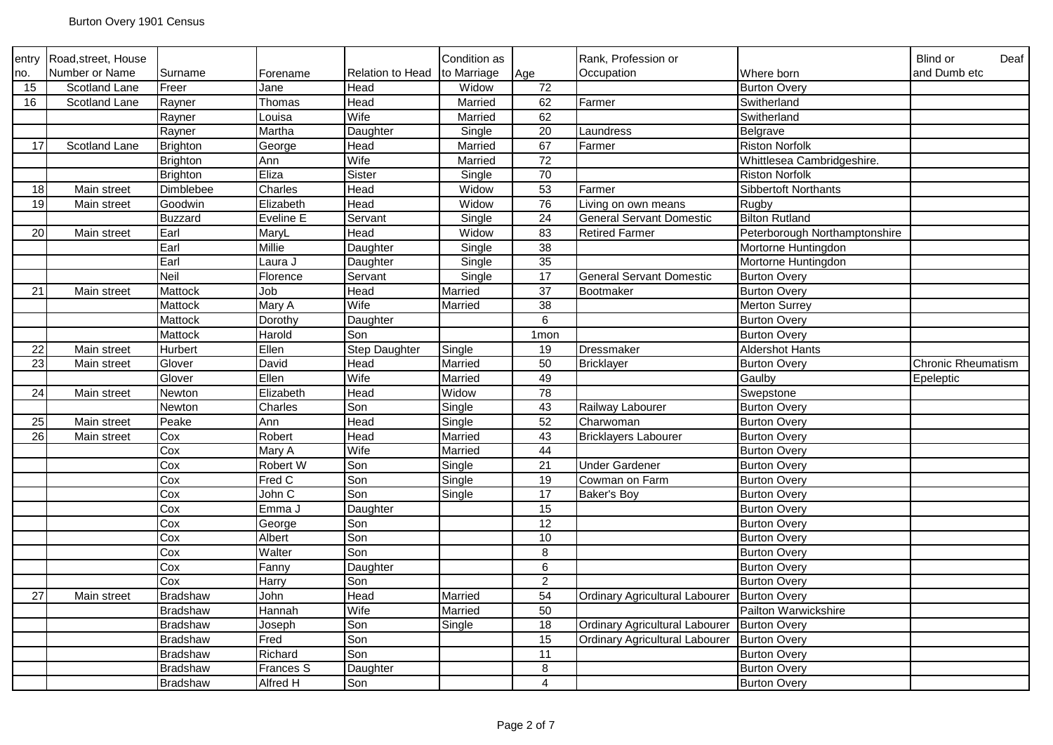| entry           | Road, street, House  |                  |              |                         | Condition as |                         | Rank, Profession or                   |                               | Blind or<br>Deaf          |
|-----------------|----------------------|------------------|--------------|-------------------------|--------------|-------------------------|---------------------------------------|-------------------------------|---------------------------|
| no.             | Number or Name       | Surname          | Forename     | <b>Relation to Head</b> | to Marriage  | Age                     | Occupation                            | Where born                    | and Dumb etc              |
| 15              | <b>Scotland Lane</b> | Freer            | Jane         | Head                    | Widow        | 72                      |                                       | <b>Burton Overy</b>           |                           |
| 16              | Scotland Lane        | Rayner           | Thomas       | Head                    | Married      | 62                      | Farmer                                | Switherland                   |                           |
|                 |                      | Rayner           | Louisa       | Wife                    | Married      | 62                      |                                       | Switherland                   |                           |
|                 |                      | Rayner           | Martha       | Daughter                | Single       | 20                      | Laundress                             | Belgrave                      |                           |
| 17              | Scotland Lane        | <b>Brighton</b>  | George       | Head                    | Married      | 67                      | Farmer                                | <b>Riston Norfolk</b>         |                           |
|                 |                      | <b>Brighton</b>  | Ann          | Wife                    | Married      | 72                      |                                       | Whittlesea Cambridgeshire.    |                           |
|                 |                      | <b>Brighton</b>  | Eliza        | Sister                  | Single       | 70                      |                                       | <b>Riston Norfolk</b>         |                           |
| 18              | Main street          | <b>Dimblebee</b> | Charles      | Head                    | Widow        | 53                      | Farmer                                | Sibbertoft Northants          |                           |
| 19              | Main street          | Goodwin          | Elizabeth    | Head                    | Widow        | 76                      | Living on own means                   | Rugby                         |                           |
|                 |                      | <b>Buzzard</b>   | Eveline E    | Servant                 | Single       | $\overline{24}$         | <b>General Servant Domestic</b>       | <b>Bilton Rutland</b>         |                           |
| $\overline{20}$ | Main street          | Earl             | MaryL        | Head                    | Widow        | 83                      | <b>Retired Farmer</b>                 | Peterborough Northamptonshire |                           |
|                 |                      | Earl             | Millie       | Daughter                | Single       | 38                      |                                       | Mortorne Huntingdon           |                           |
|                 |                      | Earl             | Laura J      | Daughter                | Single       | 35                      |                                       | Mortorne Huntingdon           |                           |
|                 |                      | <b>Neil</b>      | Florence     | Servant                 | Single       | $\overline{17}$         | <b>General Servant Domestic</b>       | <b>Burton Overy</b>           |                           |
| 21              | Main street          | Mattock          | Job          | Head                    | Married      | $\overline{37}$         | Bootmaker                             | <b>Burton Overy</b>           |                           |
|                 |                      | Mattock          | Mary A       | Wife                    | Married      | 38                      |                                       | Merton Surrey                 |                           |
|                 |                      | Mattock          | Dorothy      | Daughter                |              | 6                       |                                       | <b>Burton Overy</b>           |                           |
|                 |                      | Mattock          | Harold       | Son                     |              | 1 <sub>mon</sub>        |                                       | <b>Burton Overy</b>           |                           |
| 22              | Main street          | Hurbert          | Ellen        | Step Daughter           | Single       | 19                      | Dressmaker                            | <b>Aldershot Hants</b>        |                           |
| $\overline{23}$ | Main street          | Glover           | David        | Head                    | Married      | 50                      | <b>Bricklayer</b>                     | <b>Burton Overy</b>           | <b>Chronic Rheumatism</b> |
|                 |                      | Glover           | Ellen        | Wife                    | Married      | 49                      |                                       | Gaulby                        | Epeleptic                 |
| 24              | Main street          | Newton           | Elizabeth    | Head                    | Widow        | $\overline{78}$         |                                       | Swepstone                     |                           |
|                 |                      | Newton           | Charles      | Son                     | Single       | 43                      | Railway Labourer                      | <b>Burton Overy</b>           |                           |
| 25              | Main street          | Peake            | Ann          | Head                    | Single       | 52                      | Charwoman                             | <b>Burton Overy</b>           |                           |
| $\overline{26}$ | Main street          | Cox              | Robert       | Head                    | Married      | 43                      | <b>Bricklayers Labourer</b>           | <b>Burton Overy</b>           |                           |
|                 |                      | Cox              | Mary A       | Wife                    | Married      | 44                      |                                       | <b>Burton Overy</b>           |                           |
|                 |                      | Cox              | Robert W     | Son                     | Single       | 21                      | <b>Under Gardener</b>                 | <b>Burton Overy</b>           |                           |
|                 |                      | Cox              | Fred C       | Son                     | Single       | 19                      | Cowman on Farm                        | <b>Burton Overy</b>           |                           |
|                 |                      | Cox              | John C       | Son                     | Single       | 17                      | Baker's Boy                           | <b>Burton Overy</b>           |                           |
|                 |                      | Cox              | Emma J       | Daughter                |              | 15                      |                                       | <b>Burton Overy</b>           |                           |
|                 |                      | Cox              | George       | Son                     |              | 12                      |                                       | <b>Burton Overy</b>           |                           |
|                 |                      | Cox              | Albert       | Son                     |              | 10                      |                                       | <b>Burton Overy</b>           |                           |
|                 |                      | Cox              | Walter       | Son                     |              | 8                       |                                       | <b>Burton Overy</b>           |                           |
|                 |                      | Cox              | Fanny        | Daughter                |              | $\,6\,$                 |                                       | <b>Burton Overy</b>           |                           |
|                 |                      | Cox              | <b>Harry</b> | Son                     |              | $\overline{2}$          |                                       | <b>Burton Overy</b>           |                           |
| 27              | Main street          | <b>Bradshaw</b>  | John         | Head                    | Married      | 54                      | Ordinary Agricultural Labourer        | <b>Burton Overy</b>           |                           |
|                 |                      | <b>Bradshaw</b>  | Hannah       | Wife                    | Married      | 50                      |                                       | Pailton Warwickshire          |                           |
|                 |                      | <b>Bradshaw</b>  | Joseph       | Son                     | Single       | 18                      | Ordinary Agricultural Labourer        | <b>Burton Overy</b>           |                           |
|                 |                      | <b>Bradshaw</b>  | Fred         | Son                     |              | 15                      | <b>Ordinary Agricultural Labourer</b> | <b>Burton Overy</b>           |                           |
|                 |                      | <b>Bradshaw</b>  | Richard      | Son                     |              | 11                      |                                       | <b>Burton Overy</b>           |                           |
|                 |                      | <b>Bradshaw</b>  | Frances S    | Daughter                |              | 8                       |                                       | <b>Burton Overy</b>           |                           |
|                 |                      | <b>Bradshaw</b>  | Alfred H     | Son                     |              | $\overline{\mathbf{4}}$ |                                       | <b>Burton Overy</b>           |                           |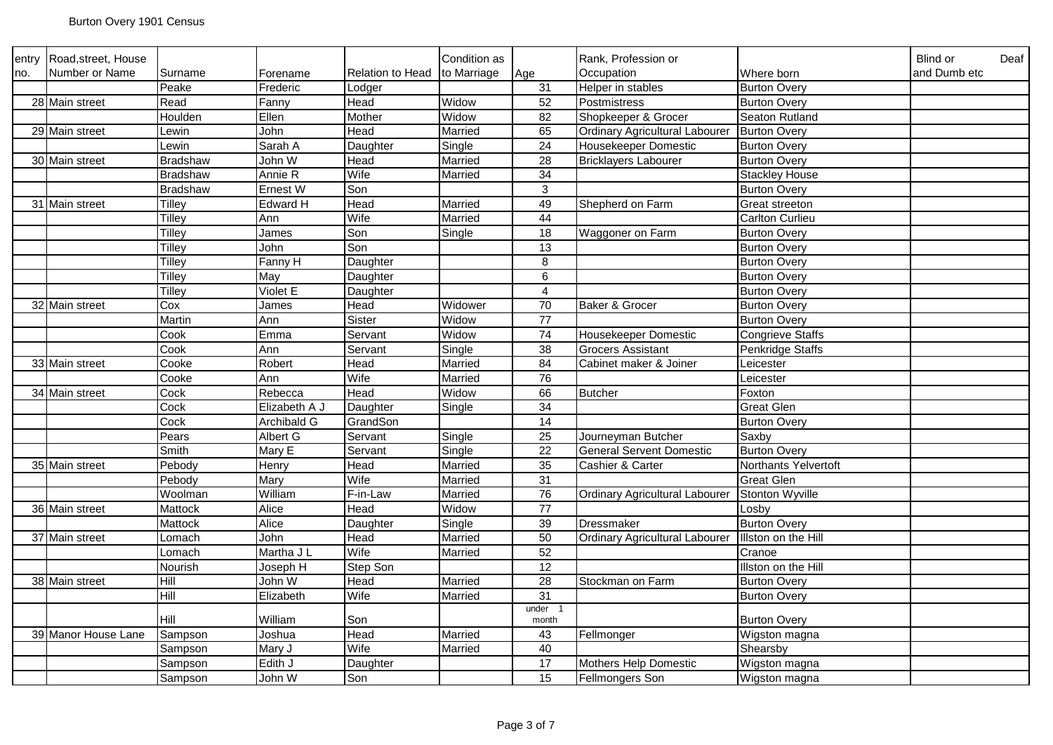| entry | Road, street, House |                 |                 |                         | Condition as |                 | Rank, Profession or                   |                         | <b>Blind or</b><br>Deaf |
|-------|---------------------|-----------------|-----------------|-------------------------|--------------|-----------------|---------------------------------------|-------------------------|-------------------------|
| no.   | Number or Name      | Surname         | Forename        | <b>Relation to Head</b> | to Marriage  | Age             | Occupation                            | Where born              | and Dumb etc            |
|       |                     | Peake           | Frederic        | _odger                  |              | 31              | Helper in stables                     | <b>Burton Overy</b>     |                         |
|       | 28 Main street      | Read            | Fanny           | Head                    | Widow        | 52              | Postmistress                          | <b>Burton Overy</b>     |                         |
|       |                     | Houlden         | Ellen           | Mother                  | Widow        | 82              | Shopkeeper & Grocer                   | Seaton Rutland          |                         |
|       | 29 Main street      | ∟ewin           | John            | Head                    | Married      | 65              | Ordinary Agricultural Labourer        | <b>Burton Overy</b>     |                         |
|       |                     | _ewin           | Sarah A         | Daughter                | Single       | 24              | Housekeeper Domestic                  | <b>Burton Overy</b>     |                         |
|       | 30 Main street      | <b>Bradshaw</b> | John W          | Head                    | Married      | 28              | <b>Bricklayers Labourer</b>           | <b>Burton Overy</b>     |                         |
|       |                     | Bradshaw        | Annie R         | Wife                    | Married      | $\overline{34}$ |                                       | <b>Stackley House</b>   |                         |
|       |                     | <b>Bradshaw</b> | Ernest W        | Son                     |              | $\overline{3}$  |                                       | <b>Burton Overy</b>     |                         |
|       | 31 Main street      | Tilley          | <b>Edward H</b> | Head                    | Married      | 49              | Shepherd on Farm                      | <b>Great streeton</b>   |                         |
|       |                     | <b>Tilley</b>   | Ann             | Wife                    | Married      | 44              |                                       | <b>Carlton Curlieu</b>  |                         |
|       |                     | Tilley          | James           | Son                     | Single       | 18              | Waggoner on Farm                      | <b>Burton Overy</b>     |                         |
|       |                     | Tilley          | John            | Son                     |              | 13              |                                       | <b>Burton Overy</b>     |                         |
|       |                     | <b>Tilley</b>   | Fanny H         | Daughter                |              | 8               |                                       | <b>Burton Overy</b>     |                         |
|       |                     | Tilley          | May             | Daughter                |              | 6               |                                       | <b>Burton Overy</b>     |                         |
|       |                     | <b>Tilley</b>   | Violet E        | Daughter                |              | $\overline{4}$  |                                       | <b>Burton Overy</b>     |                         |
|       | 32 Main street      | Cox             | James           | Head                    | Widower      | 70              | Baker & Grocer                        | <b>Burton Overy</b>     |                         |
|       |                     | Martin          | Ann             | Sister                  | Widow        | 77              |                                       | <b>Burton Overy</b>     |                         |
|       |                     | Cook            | Emma            | Servant                 | Widow        | $\overline{74}$ | Housekeeper Domestic                  | <b>Congrieve Staffs</b> |                         |
|       |                     | Cook            | Ann             | Servant                 | Single       | 38              | <b>Grocers Assistant</b>              | Penkridge Staffs        |                         |
|       | 33 Main street      | Cooke           | Robert          | Head                    | Married      | 84              | Cabinet maker & Joiner                | Leicester               |                         |
|       |                     | Cooke           | Ann             | Wife                    | Married      | 76              |                                       | Leicester               |                         |
|       | 34 Main street      | Cock            | Rebecca         | Head                    | Widow        | 66              | <b>Butcher</b>                        | Foxton                  |                         |
|       |                     | Cock            | Elizabeth A J   | Daughter                | Single       | $\overline{34}$ |                                       | <b>Great Glen</b>       |                         |
|       |                     | Cock            | Archibald G     | GrandSon                |              | 14              |                                       | <b>Burton Overy</b>     |                         |
|       |                     | Pears           | Albert G        | Servant                 | Single       | $\overline{25}$ | Journeyman Butcher                    | Saxby                   |                         |
|       |                     | Smith           | Mary E          | Servant                 | Single       | $\overline{22}$ | <b>General Servent Domestic</b>       | <b>Burton Overy</b>     |                         |
|       | 35 Main street      | Pebody          | Henry           | Head                    | Married      | 35              | Cashier & Carter                      | Northants Yelvertoft    |                         |
|       |                     | Pebody          | Mary            | Wife                    | Married      | 31              |                                       | <b>Great Glen</b>       |                         |
|       |                     | Woolman         | William         | F-in-Law                | Married      | 76              | <b>Ordinary Agricultural Labourer</b> | <b>Stonton Wyville</b>  |                         |
|       | 36 Main street      | Mattock         | Alice           | Head                    | Widow        | $\overline{77}$ |                                       | Losbv                   |                         |
|       |                     | Mattock         | Alice           | Daughter                | Single       | 39              | Dressmaker                            | <b>Burton Overy</b>     |                         |
|       | 37 Main street      | Lomach          | John            | Head                    | Married      | 50              | <b>Ordinary Agricultural Labourer</b> | Illston on the Hill     |                         |
|       |                     | Lomach          | Martha J L      | Wife                    | Married      | 52              |                                       | Cranoe                  |                         |
|       |                     | Nourish         | Joseph H        | Step Son                |              | $\overline{12}$ |                                       | Illston on the Hill     |                         |
|       | 38 Main street      | Hill            | John W          | Head                    | Married      | 28              | Stockman on Farm                      | <b>Burton Overy</b>     |                         |
|       |                     | Hill            | Elizabeth       | Wife                    | Married      | 31              |                                       | <b>Burton Overy</b>     |                         |
|       |                     | Hill            | William         | Son                     |              | under<br>month  |                                       | <b>Burton Overy</b>     |                         |
|       | 39 Manor House Lane | Sampson         | Joshua          | Head                    | Married      | 43              | Fellmonger                            | Wigston magna           |                         |
|       |                     | Sampson         | Mary J          | Wife                    | Married      | 40              |                                       | Shearsby                |                         |
|       |                     | Sampson         | Edith J         | Daughter                |              | $\overline{17}$ | Mothers Help Domestic                 | Wigston magna           |                         |
|       |                     | Sampson         | John W          | Son                     |              | 15              | Fellmongers Son                       | Wigston magna           |                         |
|       |                     |                 |                 |                         |              |                 |                                       |                         |                         |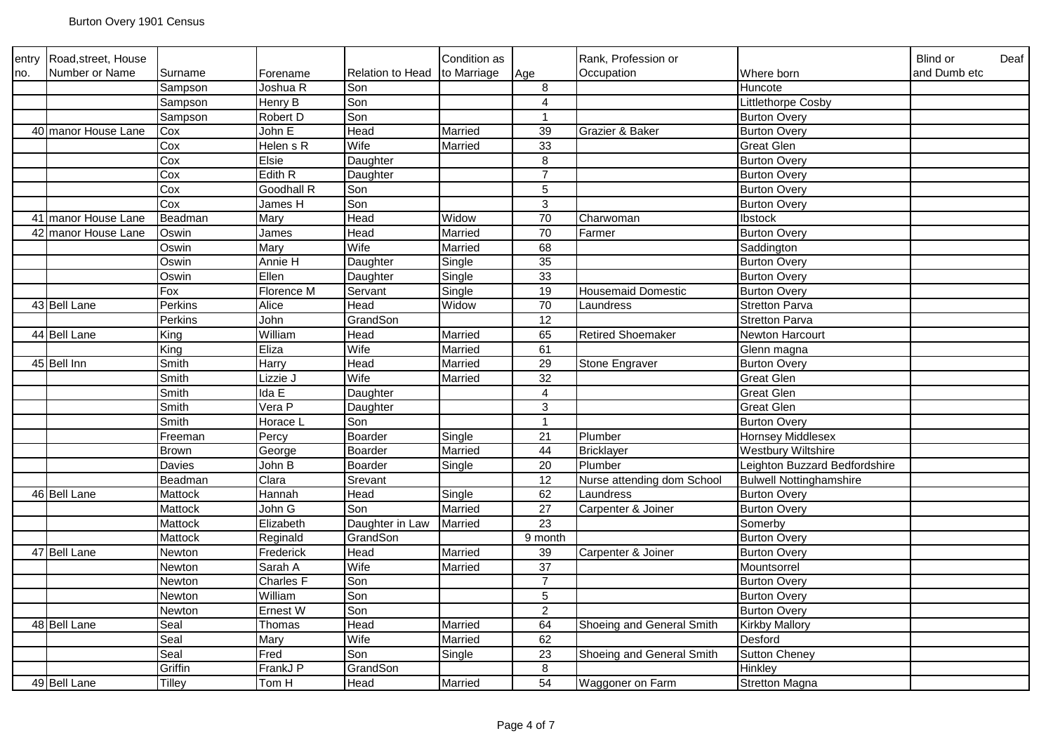| entry | Road, street, House       |         |                    |                         | Condition as |                 | Rank, Profession or        |                                | <b>Blind or</b><br>Deaf |
|-------|---------------------------|---------|--------------------|-------------------------|--------------|-----------------|----------------------------|--------------------------------|-------------------------|
| no.   | Number or Name            | Surname | Forename           | <b>Relation to Head</b> | to Marriage  | Age             | Occupation                 | Where born                     | and Dumb etc            |
|       |                           | Sampson | Joshua R           | Son                     |              | 8               |                            | Huncote                        |                         |
|       |                           | Sampson | Henry B            | Son                     |              | $\overline{4}$  |                            | Littlethorpe Cosby             |                         |
|       |                           | Sampson | Robert D           | Son                     |              | $\mathbf{1}$    |                            | <b>Burton Overy</b>            |                         |
|       | 40 manor House Lane       | Cox     | John E             | Head                    | Married      | 39              | Grazier & Baker            | <b>Burton Overy</b>            |                         |
|       |                           | Cox     | Helen s R          | Wife                    | Married      | 33              |                            | <b>Great Glen</b>              |                         |
|       |                           | Cox     | Elsie              | Daughter                |              | 8               |                            | <b>Burton Overy</b>            |                         |
|       |                           | Cox     | Edith <sub>R</sub> | Daughter                |              | $\overline{7}$  |                            | <b>Burton Overy</b>            |                         |
|       |                           | Cox     | Goodhall R         | Son                     |              | 5               |                            | <b>Burton Overy</b>            |                         |
|       |                           | Cox     | James H            | Son                     |              | $\mathbf{3}$    |                            | <b>Burton Overy</b>            |                         |
|       | 41 manor House Lane       | Beadman | Mary               | Head                    | Widow        | 70              | Charwoman                  | Ibstock                        |                         |
|       | 42 manor House Lane       | Oswin   | James              | Head                    | Married      | 70              | Farmer                     | <b>Burton Overy</b>            |                         |
|       |                           | Oswin   | Mary               | Wife                    | Married      | 68              |                            | Saddington                     |                         |
|       |                           | Oswin   | Annie H            | Daughter                | Single       | 35              |                            | <b>Burton Overy</b>            |                         |
|       |                           | Oswin   | Ellen              | Daughter                | Single       | 33              |                            | <b>Burton Overy</b>            |                         |
|       |                           | Fox     | Florence M         | Servant                 | Single       | 19              | <b>Housemaid Domestic</b>  | <b>Burton Overy</b>            |                         |
|       | 43 Bell Lane              | Perkins | Alice              | Head                    | Widow        | $70\,$          | Laundress                  | <b>Stretton Parva</b>          |                         |
|       |                           | Perkins | John               | GrandSon                |              | 12              |                            | <b>Stretton Parva</b>          |                         |
|       | $\overline{44}$ Bell Lane | King    | William            | Head                    | Married      | 65              | <b>Retired Shoemaker</b>   | Newton Harcourt                |                         |
|       |                           | King    | Eliza              | Wife                    | Married      | 61              |                            | Glenn magna                    |                         |
|       | 45 Bell Inn               | Smith   | Harry              | Head                    | Married      | 29              | Stone Engraver             | <b>Burton Overy</b>            |                         |
|       |                           | Smith   | Lizzie J           | Wife                    | Married      | 32              |                            | <b>Great Glen</b>              |                         |
|       |                           | Smith   | Ida E              | Daughter                |              | $\overline{4}$  |                            | <b>Great Glen</b>              |                         |
|       |                           | Smith   | Vera P             | Daughter                |              | $\mathfrak{S}$  |                            | <b>Great Glen</b>              |                         |
|       |                           | Smith   | Horace L           | Son                     |              | $\mathbf{1}$    |                            | <b>Burton Overy</b>            |                         |
|       |                           | Freeman | Percy              | Boarder                 | Single       | 21              | Plumber                    | <b>Hornsey Middlesex</b>       |                         |
|       |                           | Brown   | George             | Boarder                 | Married      | 44              | <b>Bricklayer</b>          | <b>Westbury Wiltshire</b>      |                         |
|       |                           | Davies  | John B             | Boarder                 | Single       | $\overline{20}$ | Plumber                    | Leighton Buzzard Bedfordshire  |                         |
|       |                           | Beadman | Clara              | Srevant                 |              | 12              | Nurse attending dom School | <b>Bulwell Nottinghamshire</b> |                         |
|       | 46 Bell Lane              | Mattock | Hannah             | Head                    | Single       | 62              | Laundress                  | <b>Burton Overy</b>            |                         |
|       |                           | Mattock | John G             | Son                     | Married      | 27              | Carpenter & Joiner         | <b>Burton Overy</b>            |                         |
|       |                           | Mattock | Elizabeth          | Daughter in Law         | Married      | $\overline{23}$ |                            | Somerby                        |                         |
|       |                           | Mattock | Reginald           | GrandSon                |              | 9 month         |                            | <b>Burton Overy</b>            |                         |
|       | 47 Bell Lane              | Newton  | Frederick          | Head                    | Married      | 39              | Carpenter & Joiner         | <b>Burton Overy</b>            |                         |
|       |                           | Newton  | Sarah A            | Wife                    | Married      | 37              |                            | Mountsorrel                    |                         |
|       |                           | Newton  | <b>Charles F</b>   | Son                     |              | $\overline{7}$  |                            | <b>Burton Overy</b>            |                         |
|       |                           | Newton  | William            | Son                     |              | 5               |                            | <b>Burton Overy</b>            |                         |
|       |                           | Newton  | Ernest W           | Son                     |              | $\overline{2}$  |                            | <b>Burton Overy</b>            |                         |
|       | 48 Bell Lane              | Seal    | Thomas             | Head                    | Married      | 64              | Shoeing and General Smith  | <b>Kirkby Mallory</b>          |                         |
|       |                           | Seal    | Mary               | Wife                    | Married      | 62              |                            | Desford                        |                         |
|       |                           | Seal    | Fred               | Son                     | Single       | 23              | Shoeing and General Smith  | <b>Sutton Cheney</b>           |                         |
|       |                           | Griffin | FrankJ P           | GrandSon                |              | 8               |                            | Hinkley                        |                         |
|       | 49 Bell Lane              | Tilley  | Tom H              | Head                    | Married      | $\overline{54}$ | Waggoner on Farm           | <b>Stretton Magna</b>          |                         |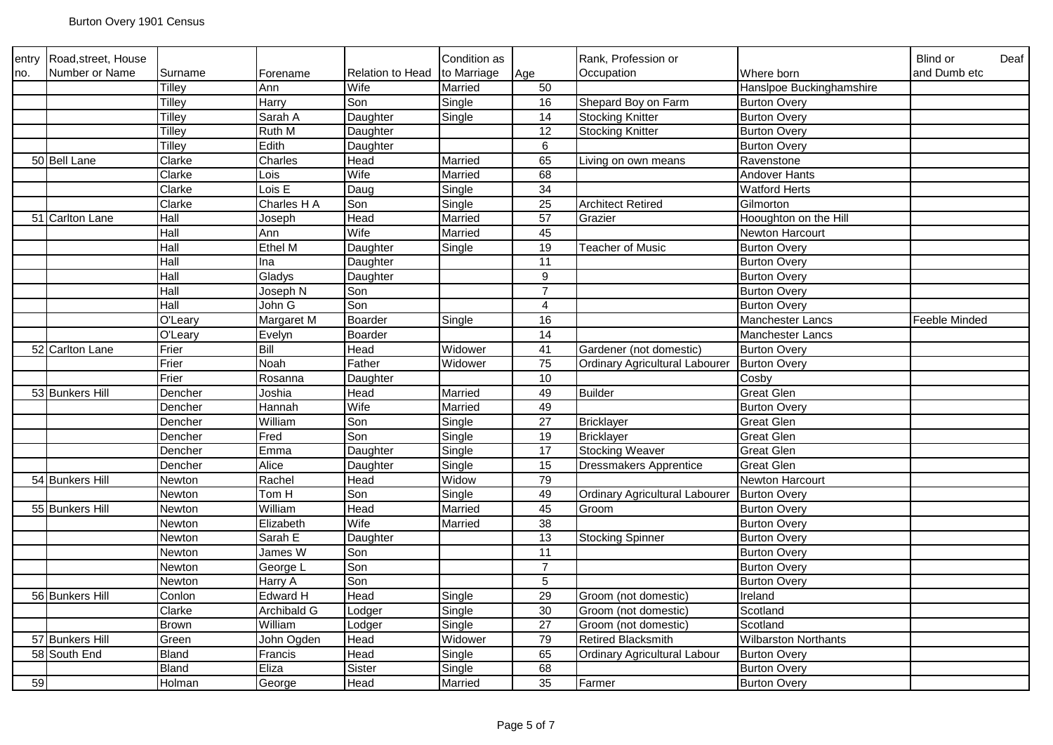| entry | Road, street, House |               |                 |                  | Condition as |                 | Rank, Profession or                   |                             | Blind or<br>Deaf |
|-------|---------------------|---------------|-----------------|------------------|--------------|-----------------|---------------------------------------|-----------------------------|------------------|
| no.   | Number or Name      | Surname       | Forename        | Relation to Head | to Marriage  | Age             | Occupation                            | Where born                  | and Dumb etc     |
|       |                     | Tilley        | Ann             | Wife             | Married      | 50              |                                       | Hanslpoe Buckinghamshire    |                  |
|       |                     | Tilley        | Harry           | Son              | Single       | 16              | Shepard Boy on Farm                   | <b>Burton Overy</b>         |                  |
|       |                     | Tilley        | Sarah A         | Daughter         | Single       | 14              | <b>Stocking Knitter</b>               | <b>Burton Overy</b>         |                  |
|       |                     | <b>Tilley</b> | Ruth M          | Daughter         |              | $\overline{12}$ | <b>Stocking Knitter</b>               | <b>Burton Overy</b>         |                  |
|       |                     | <b>Tilley</b> | Edith           | Daughter         |              | $\,6\,$         |                                       | <b>Burton Overy</b>         |                  |
|       | 50 Bell Lane        | Clarke        | Charles         | Head             | Married      | 65              | Living on own means                   | Ravenstone                  |                  |
|       |                     | Clarke        | Lois            | Wife             | Married      | 68              |                                       | Andover Hants               |                  |
|       |                     | Clarke        | Lois E          | Daug             | Single       | $\overline{34}$ |                                       | <b>Watford Herts</b>        |                  |
|       |                     | Clarke        | Charles H A     | Son              | Single       | $\overline{25}$ | <b>Architect Retired</b>              | Gilmorton                   |                  |
|       | 51 Carlton Lane     | Hall          | Joseph          | Head             | Married      | 57              | Grazier                               | Hooughton on the Hill       |                  |
|       |                     | Hall          | Ann             | Wife             | Married      | 45              |                                       | Newton Harcourt             |                  |
|       |                     | Hall          | Ethel M         | Daughter         | Single       | 19              | <b>Teacher of Music</b>               | <b>Burton Overy</b>         |                  |
|       |                     | Hall          | Ina             | Daughter         |              | 11              |                                       | <b>Burton Overy</b>         |                  |
|       |                     | Hall          | Gladys          | Daughter         |              | $\overline{9}$  |                                       | <b>Burton Overy</b>         |                  |
|       |                     | Hall          | Joseph N        | Son              |              | $\overline{7}$  |                                       | <b>Burton Overy</b>         |                  |
|       |                     | Hall          | John G          | Son              |              | $\overline{4}$  |                                       | <b>Burton Overy</b>         |                  |
|       |                     | O'Leary       | Margaret M      | Boarder          | Single       | 16              |                                       | <b>Manchester Lancs</b>     | Feeble Minded    |
|       |                     | O'Leary       | Evelyn          | Boarder          |              | 14              |                                       | Manchester Lancs            |                  |
|       | 52 Carlton Lane     | Frier         | Bill            | Head             | Widower      | 41              | Gardener (not domestic)               | <b>Burton Overy</b>         |                  |
|       |                     | Frier         | Noah            | Father           | Widower      | 75              | Ordinary Agricultural Labourer        | <b>Burton Overy</b>         |                  |
|       |                     | Frier         | Rosanna         | Daughter         |              | 10              |                                       | Cosby                       |                  |
|       | 53 Bunkers Hill     | Dencher       | Joshia          | Head             | Married      | 49              | <b>Builder</b>                        | Great Glen                  |                  |
|       |                     | Dencher       | Hannah          | Wife             | Married      | 49              |                                       | <b>Burton Overy</b>         |                  |
|       |                     | Dencher       | William         | Son              | Single       | $\overline{27}$ | <b>Bricklayer</b>                     | <b>Great Glen</b>           |                  |
|       |                     | Dencher       | Fred            | Son              | Single       | 19              | <b>Bricklayer</b>                     | <b>Great Glen</b>           |                  |
|       |                     | Dencher       | Emma            | Daughter         | Single       | 17              | <b>Stocking Weaver</b>                | <b>Great Glen</b>           |                  |
|       |                     | Dencher       | Alice           | Daughter         | Single       | 15              | <b>Dressmakers Apprentice</b>         | <b>Great Glen</b>           |                  |
|       | 54 Bunkers Hill     | Newton        | Rachel          | Head             | Widow        | 79              |                                       | Newton Harcourt             |                  |
|       |                     | Newton        | Tom H           | Son              | Single       | 49              | <b>Ordinary Agricultural Labourer</b> | <b>Burton Overy</b>         |                  |
|       | 55 Bunkers Hill     | Newton        | William         | Head             | Married      | 45              | Groom                                 | <b>Burton Overy</b>         |                  |
|       |                     | Newton        | Elizabeth       | Wife             | Married      | 38              |                                       | <b>Burton Overy</b>         |                  |
|       |                     | Newton        | Sarah E         | Daughter         |              | 13              | <b>Stocking Spinner</b>               | <b>Burton Overy</b>         |                  |
|       |                     | Newton        | James W         | Son              |              | 11              |                                       | <b>Burton Overy</b>         |                  |
|       |                     | Newton        | George L        | Son              |              | $\overline{7}$  |                                       | <b>Burton Overy</b>         |                  |
|       |                     | Newton        | Harry A         | Son              |              | $\overline{5}$  |                                       | <b>Burton Overy</b>         |                  |
|       | 56 Bunkers Hill     | Conlon        | <b>Edward H</b> | Head             | Single       | 29              | Groom (not domestic)                  | Ireland                     |                  |
|       |                     | Clarke        | Archibald G     | Lodger           | Single       | 30              | Groom (not domestic)                  | Scotland                    |                  |
|       |                     | Brown         | William         | Lodger           | Single       | $\overline{27}$ | Groom (not domestic)                  | Scotland                    |                  |
|       | 57 Bunkers Hill     | Green         | John Ogden      | Head             | Widower      | 79              | <b>Retired Blacksmith</b>             | <b>Wilbarston Northants</b> |                  |
|       | 58 South End        | Bland         | Francis         | Head             | Single       | 65              | <b>Ordinary Agricultural Labour</b>   | <b>Burton Overy</b>         |                  |
|       |                     | Bland         | Eliza           | Sister           | Single       | 68              |                                       | <b>Burton Overy</b>         |                  |
| 59    |                     | Holman        | George          | Head             | Married      | 35              | Farmer                                | <b>Burton Overy</b>         |                  |
|       |                     |               |                 |                  |              |                 |                                       |                             |                  |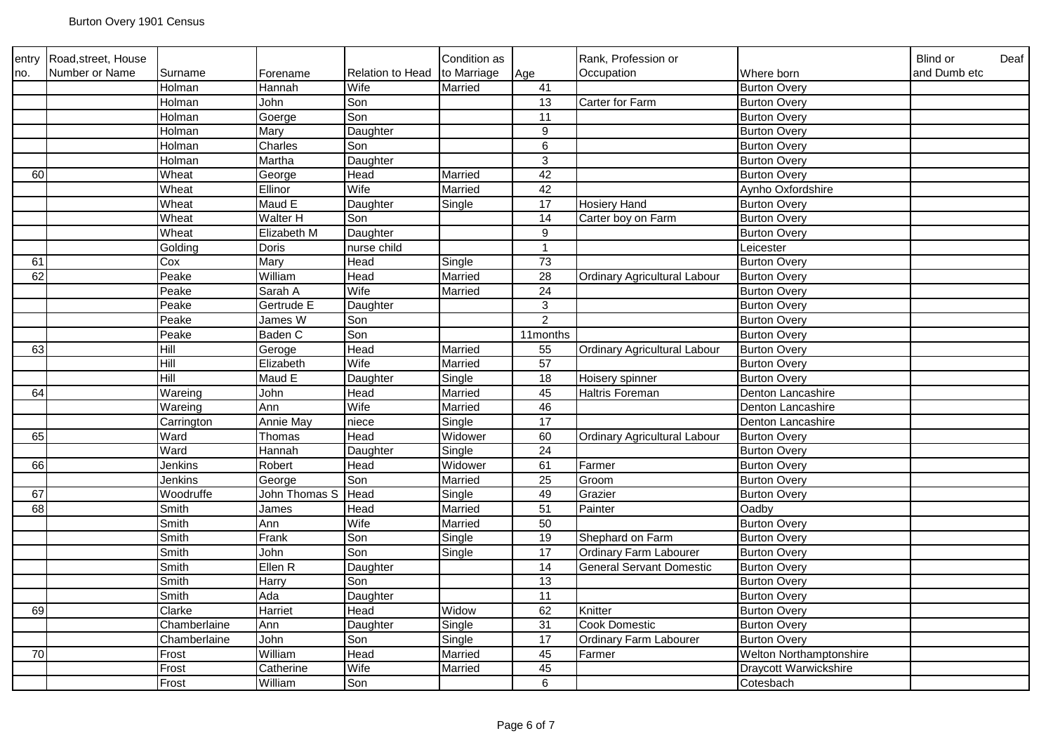| entry           | Road, street, House |                |               |                  | Condition as |                 | Rank, Profession or             |                         | Blind or<br>Deaf |
|-----------------|---------------------|----------------|---------------|------------------|--------------|-----------------|---------------------------------|-------------------------|------------------|
| no.             | Number or Name      | Surname        | Forename      | Relation to Head | to Marriage  | Age             | Occupation                      | Where born              | and Dumb etc     |
|                 |                     | Holman         | Hannah        | Wife             | Married      | 41              |                                 | <b>Burton Overy</b>     |                  |
|                 |                     | Holman         | John          | Son              |              | 13              | <b>Carter for Farm</b>          | <b>Burton Overy</b>     |                  |
|                 |                     | Holman         | Goerge        | Son              |              | 11              |                                 | <b>Burton Overy</b>     |                  |
|                 |                     | Holman         | Mary          | Daughter         |              | 9               |                                 | <b>Burton Overy</b>     |                  |
|                 |                     | Holman         | Charles       | Son              |              | 6               |                                 | <b>Burton Overy</b>     |                  |
|                 |                     | Holman         | Martha        | Daughter         |              | $\mathbf{3}$    |                                 | <b>Burton Overy</b>     |                  |
| 60              |                     | Wheat          | George        | Head             | Married      | 42              |                                 | <b>Burton Overy</b>     |                  |
|                 |                     | Wheat          | Ellinor       | Wife             | Married      | 42              |                                 | Aynho Oxfordshire       |                  |
|                 |                     | Wheat          | Maud E        | Daughter         | Single       | 17              | <b>Hosiery Hand</b>             | <b>Burton Overy</b>     |                  |
|                 |                     | Wheat          | Walter H      | Son              |              | 14              | Carter boy on Farm              | <b>Burton Overy</b>     |                  |
|                 |                     | Wheat          | Elizabeth M   | Daughter         |              | 9               |                                 | <b>Burton Overy</b>     |                  |
|                 |                     | Golding        | Doris         | nurse child      |              | $\mathbf{1}$    |                                 | Leicester               |                  |
| 61              |                     | Cox            | Mary          | Head             | Single       | 73              |                                 | <b>Burton Overy</b>     |                  |
| 62              |                     | Peake          | William       | Head             | Married      | $\overline{28}$ | Ordinary Agricultural Labour    | <b>Burton Overy</b>     |                  |
|                 |                     | Peake          | Sarah A       | Wife             | Married      | 24              |                                 | <b>Burton Overy</b>     |                  |
|                 |                     | Peake          | Gertrude E    | Daughter         |              | $\overline{3}$  |                                 | <b>Burton Overy</b>     |                  |
|                 |                     | Peake          | James W       | Son              |              | $\overline{2}$  |                                 | <b>Burton Overy</b>     |                  |
|                 |                     | $P$ eake       | Baden C       | Son              |              | 11months        |                                 | <b>Burton Overy</b>     |                  |
| 63              |                     | Hill           | Geroge        | Head             | Married      | 55              | Ordinary Agricultural Labour    | <b>Burton Overy</b>     |                  |
|                 |                     | Hill           | Elizabeth     | Wife             | Married      | 57              |                                 | <b>Burton Overy</b>     |                  |
|                 |                     | $\overline{H}$ | Maud E        | Daughter         | Single       | 18              | Hoisery spinner                 | <b>Burton Overy</b>     |                  |
| 64              |                     | Wareing        | John          | Head             | Married      | 45              | Haltris Foreman                 | Denton Lancashire       |                  |
|                 |                     | Wareing        | Ann           | Wife             | Married      | 46              |                                 | Denton Lancashire       |                  |
|                 |                     | Carrington     | Annie May     | niece            | Single       | $\overline{17}$ |                                 | Denton Lancashire       |                  |
| 65              |                     | Ward           | Thomas        | Head             | Widower      | 60              | Ordinary Agricultural Labour    | <b>Burton Overy</b>     |                  |
|                 |                     | Ward           | Hannah        | Daughter         | Single       | 24              |                                 | <b>Burton Overy</b>     |                  |
| 66              |                     | Jenkins        | Robert        | Head             | Widower      | 61              | Farmer                          | <b>Burton Overy</b>     |                  |
|                 |                     | Jenkins        | George        | Son              | Married      | 25              | Groom                           | <b>Burton Overy</b>     |                  |
| 67              |                     | Woodruffe      | John Thomas S | Head             | Single       | 49              | Grazier                         | <b>Burton Overy</b>     |                  |
| 68              |                     | Smith          | James         | Head             | Married      | $\overline{51}$ | Painter                         | Oadby                   |                  |
|                 |                     | Smith          | Ann           | Wife             | Married      | 50              |                                 | <b>Burton Overy</b>     |                  |
|                 |                     | Smith          | Frank         | Son              | Single       | 19              | Shephard on Farm                | <b>Burton Overy</b>     |                  |
|                 |                     | Smith          | John          | Son              | Single       | $\overline{17}$ | Ordinary Farm Labourer          | <b>Burton Overy</b>     |                  |
|                 |                     | Smith          | Ellen R       | Daughter         |              | 14              | <b>General Servant Domestic</b> | <b>Burton Overy</b>     |                  |
|                 |                     | Smith          | Harry         | Son              |              | $\overline{13}$ |                                 | <b>Burton Overy</b>     |                  |
|                 |                     | Smith          | Ada           | Daughter         |              | 11              |                                 | <b>Burton Overy</b>     |                  |
| 69              |                     | Clarke         | Harriet       | Head             | Widow        | 62              | Knitter                         | <b>Burton Overy</b>     |                  |
|                 |                     | Chamberlaine   | Ann           | Daughter         | Single       | 31              | <b>Cook Domestic</b>            | <b>Burton Overy</b>     |                  |
|                 |                     | Chamberlaine   | John          | Son              | Single       | $\overline{17}$ | Ordinary Farm Labourer          | <b>Burton Overy</b>     |                  |
| $\overline{70}$ |                     | Frost          | William       | Head             | Married      | 45              | Farmer                          | Welton Northamptonshire |                  |
|                 |                     | Frost          | Catherine     | Wife             | Married      | 45              |                                 | Draycott Warwickshire   |                  |
|                 |                     | Frost          | William       | Son              |              | 6               |                                 | Cotesbach               |                  |